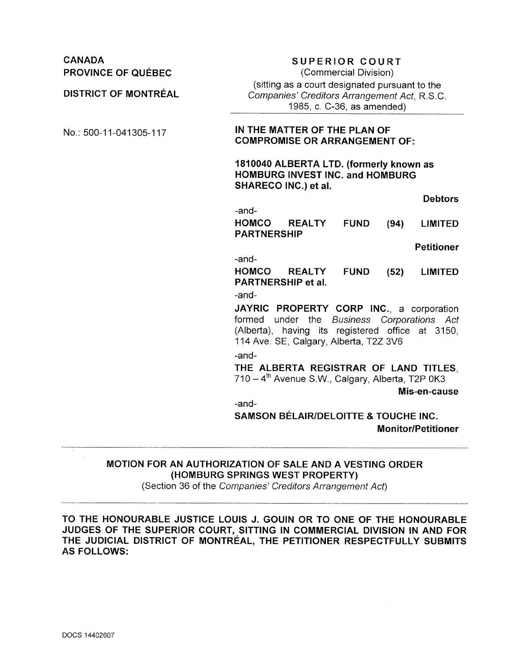| <b>CANADA</b><br><b>PROVINCE OF QUÉBEC</b> | <b>SUPERIOR COURT</b><br>(Commercial Division)<br>(sitting as a court designated pursuant to the                                                                                     |
|--------------------------------------------|--------------------------------------------------------------------------------------------------------------------------------------------------------------------------------------|
| <b>DISTRICT OF MONTRÉAL</b>                | Companies' Creditors Arrangement Act, R.S.C.<br>1985, c. C-36, as amended)                                                                                                           |
| No.: 500-11-041305-117                     | IN THE MATTER OF THE PLAN OF<br><b>COMPROMISE OR ARRANGEMENT OF:</b>                                                                                                                 |
|                                            | 1810040 ALBERTA LTD. (formerly known as<br><b>HOMBURG INVEST INC. and HOMBURG</b><br>SHARECO INC.) et al.                                                                            |
|                                            | <b>Debtors</b>                                                                                                                                                                       |
|                                            | -and-<br><b>HOMCO</b><br><b>REALTY</b><br><b>FUND</b><br>(94)<br><b>LIMITED</b><br><b>PARTNERSHIP</b>                                                                                |
|                                            | <b>Petitioner</b>                                                                                                                                                                    |
|                                            | -and-<br><b>HOMCO</b><br><b>REALTY</b><br><b>FUND</b><br>(52)<br><b>LIMITED</b><br><b>PARTNERSHIP et al.</b><br>-and-                                                                |
|                                            | JAYRIC PROPERTY CORP INC., a corporation<br>formed under the Business Corporations Act<br>(Alberta), having its registered office at 3150,<br>114 Ave. SE, Calgary, Alberta, T2Z 3V6 |
|                                            | -and-<br>THE ALBERTA REGISTRAR OF LAND TITLES.<br>710 - 4 <sup>th</sup> Avenue S.W., Calgary, Alberta, T2P 0K3<br>Mis-en-cause                                                       |
|                                            | -and-<br><b>SAMSON BÉLAIR/DELOITTE &amp; TOUCHE INC.</b><br><b>Monitor/Petitioner</b>                                                                                                |

# **MOTION FOR AN AUTHORIZATION OF SALE AND A VESTING ORDER (HOMBURG SPRINGS WEST PROPERTY)**

(Section 36 of the *Companies' Creditors Arrangement Act)*

**TO THE HONOURABLE JUSTICE LOUIS J. GOUIN OR TO ONE OF THE HONOURABLE JUDGES OF THE SUPERIOR COURT, SITTING IN COMMERCIAL DIVISION IN AND FOR THE JUDICIAL DISTRICT OF MONTREAL, THE PETITIONER RESPECTFULLY SUBMITS AS FOLLOWS:**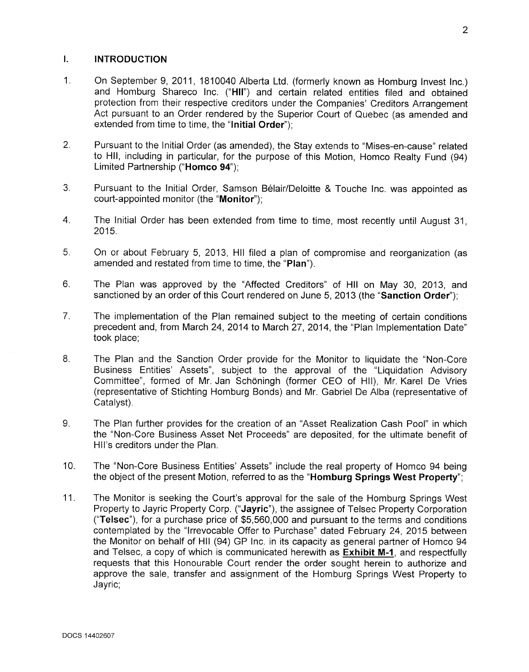### I. INTRODUCTION

- 1. On September 9, 2011, 1810040 Alberta Ltd. (formerly known as Homburg Invest Inc.) and Homburg Shareco Inc. ("HI!") and certain related entities filed and obtained protection from their respective creditors under the Companies' Creditors Arrangement Act pursuant to an Order rendered by the Superior Court of Quebec (as amended and extended from time to time, the "Initial Order");
- 2. Pursuant to the Initial Order (as amended), the Stay extends to "Mises-en-cause" related to HII, including in particular, for the purpose of this Motion, Homco Realty Fund (94) Limited Partnership ("Homco 94");
- 3. Pursuant to the Initial Order, Samson Belair/Oeloitte & Touche Inc. was appointed as court-appointed monitor (the "Monitor");
- 4. The Initial Order has been extended from time to time, most recently until August 31, 2015.
- 5. On or about February 5, 2013, HII filed a plan of compromise and reorganization (as amended and restated from time to time, the "Pian").
- 6. The Plan was approved by the "Affected Creditors" of HII on May 30, 2013, and sanctioned by an order of this Court rendered on June 5, 2013 (the "Sanction Order"):
- 7. The implementation of the Plan remained subject to the meeting of certain conditions precedent and, from March 24, 2014 to March 27, 2014, the "Plan Implementation Date" took place;
- 8. The Plan and the Sanction Order provide for the Monitor to liquidate the "Non-Core Business Entities' Assets", subject to the approval of the "Liquidation Advisory Committee", formed of Mr. Jan Schöningh (former CEO of HII), Mr. Karel De Vries (representative of Stichting Homburg Bonds) and Mr. Gabriel De Alba (representative of Catalyst).
- 9. The Plan further provides for the creation of an "Asset Realization Cash Pool" in which the "Non-Core Business Asset Net Proceeds" are deposited, for the ultimate benefit of HII's creditors under the Plan.
- 10. The "Non-Core Business Entities' Assets" include the real property of Homco 94 being the object of the present Motion, referred to as the "Homburg Springs West Property";
- 11. The Monitor is seeking the Court's approval for the sale of the Homburg Springs West Property to Jayric Property Corp. ("Jayric"), the assignee of Telsec Property Corporation ("Telsec"), for a purchase price of \$5,560,000 and pursuant to the terms and conditions contemplated by the "Irrevocable Offer to Purchase" dated February 24, 2015 between the Monitor on behalf of HII (94) GP Inc. in its capacity as general partner of Homco 94 and Telsec, a copy of which is communicated herewith as Exhibit M-1, and respectfully requests that this Honourable Court render the order sought herein to authorize and approve the sale, transfer and assignment of the Homburg Springs West Property to Jayric;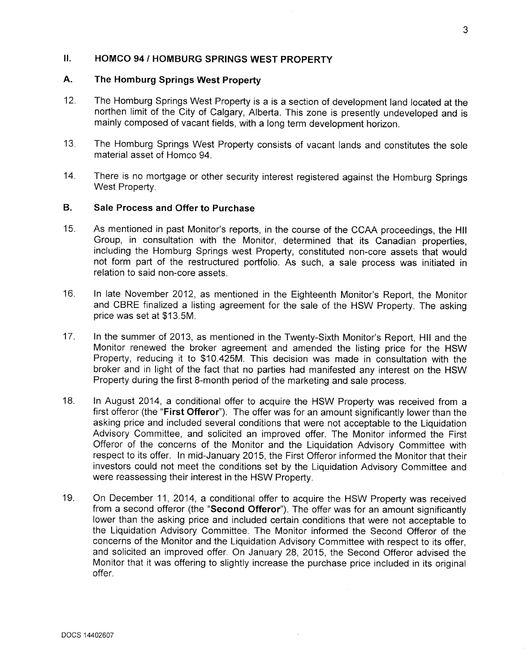### II. HOMCO 94 / HOMBURG SPRINGS WEST PROPERTY

#### A. The Homburg Springs West Property

- 12. The Homburg Springs West Property is a is a section of development land located at the northen limit of the City of Calgary, Alberta. This zone is presently undeveloped and is mainly composed of vacant fields, with a long term development horizon.
- 13. The Homburg Springs West Property consists of vacant lands and constitutes the sole material asset of Homco 94.
- 14. There is no mortgage or other security interest registered against the Homburg Springs West Property.

## B. Sale Process and Offer to Purchase

- 15. As mentioned in past Monitor's reports, in the course of the CCAA proceedings, the HII Group, in consultation with the Monitor, determined that its Canadian properties, including the Homburg Springs west Property, constituted non-core assets that would not form part of the restructured portfolio. As such, a sale process was initiated in relation to said non-core assets.
- 16. In late November 2012, as mentioned in the Eighteenth Monitor's Report, the Monitor and CBRE finalized a listing agreement for the sale of the HSW Property. The asking price was set at \$13.5M.
- 17. In the summer of 2013, as mentioned in the Twenty-Sixth Monitor's Report, HI! and the Monitor renewed the broker agreement and amended the listing price for the HSW Property, reducing it to \$10.425M. This decision was made in consultation with the broker and in light of the fact that no parties had manifested any interest on the HSW Property during the first 8-month period of the marketing and sale process.
- 18. In August 2014, a conditional offer to acquire the HSW Property was received from a first offeror (the "First Offeror"). The offer was for an amount significantly lower than the asking price and included several conditions that were not acceptable to the Liquidation Advisory Committee, and solicited an improved offer. The Monitor informed the First Offeror of the concerns of the Monitor and the Liquidation Advisory Committee with respect to its offer. In mid-January 2015, the First Offeror informed the Monitor that their investors could not meet the conditions set by the Liquidation Advisory Committee and were reassessing their interest in the HSW Property.
- 19. On December 11, 2014, a conditional offer to acquire the HSW Property was received from a second offeror (the "Second Offeror"). The offer was for an amount significantly lower than the asking price and included certain conditions that were not acceptable to the Liquidation Advisory Committee. The Monitor informed the Second Offeror of the concerns of the Monitor and the Liquidation Advisory Committee with respect to its offer, and solicited an improved offer. On January 28, 2015, the Second Offeror advised the Monitor that it was offering to slightly increase the purchase price included in its original offer.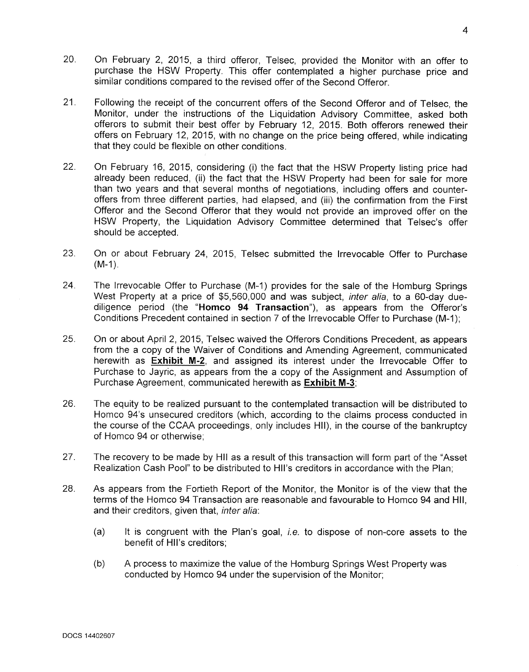- 20. On February 2, 2015, a third offeror, Telsec, provided the Monitor with an offer to purchase the HSW Property. This offer contemplated a higher purchase price and similar conditions compared to the revised offer of the Second Offeror.
- 21. Following the receipt of the concurrent offers of the Second Offeror and of Telsec, the Monitor, under the instructions of the Liquidation Advisory Committee, asked both offerors to submit their best offer by February 12, 2015. Both offerors renewed their offers on February 12, 2015, with no change on the price being offered, while indicating that they could be flexible on other conditions.
- 22. On February 16, 2015, considering (i) the fact that the HSW Property listing price had already been reduced, (ii) the fact that the HSW Property had been for sale for more than two years and that several months of negotiations, including offers and counteroffers from three different parties, had elapsed, and (iii) the confirmation from the First Offeror and the Second Offeror that they would not provide an improved offer on the HSW Property, the Liquidation Advisory Committee determined that Telsec's offer should be accepted.
- 23. On or about February 24, 2015, Telsec submitted the Irrevocable Offer to Purchase  $(M-1)$ .
- 24. The Irrevocable Offer to Purchase (M-1) provides for the sale of the Homburg Springs West Property at a price of \$5,560,000 and was subject, *inter alia,* to a 60-day duediligence period (the "Homco **94** Transaction"), as appears from the Offeror's Conditions Precedent contained in section 7 of the Irrevocable Offer to Purchase (M-1);
- 25. On or about April 2, 2015, Telsec waived the Offerors Conditions Precedent, as appears from the a copy of the Waiver of Conditions and Amending Agreement, communicated herewith as **Exhibit** M-2, and assigned its interest under the Irrevocable Offer to Purchase to Jayric, as appears from the a copy of the Assignment and Assumption of Purchase Agreement, communicated herewith as **Exhibit** M-3;
- 26. The equity to be realized pursuant to the contemplated transaction will be distributed to Homco 94's unsecured creditors (which, according to the claims process conducted in the course of the CCAA proceedings, only includes HII), in the course of the bankruptcy of Homco 94 or otherwise;
- 27. The recovery to be made by **HII** as a result of this transaction will form part of the "Asset Realization Cash Pool" to be distributed to Hll's creditors in accordance with the Plan;
- 28. As appears from the Fortieth Report of the Monitor, the Monitor is of the view that the terms of the Homco 94 Transaction are reasonable and favourable to Homco 94 and HII, and their creditors, given that, *inter alia:*
	- (a) It is congruent with the Plan's goal, *i.e.* to dispose of non-core assets to the benefit of Hll's creditors;
	- (b) A process to maximize the value of the Homburg Springs West Property was conducted by Homco 94 under the supervision of the Monitor;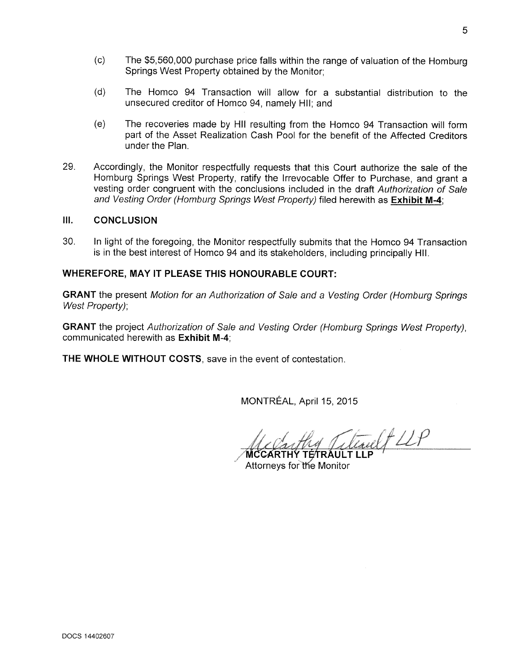- (c) The \$5,560,000 purchase price falls within the range of valuation of the Homburg Springs West Property obtained by the Monitor;
- (d) The Homco 94 Transaction will allow for a substantial distribution to the unsecured creditor of Homco 94, namely HII; and
- (e) The recoveries made by HII resulting from the Homco 94 Transaction will form part of the Asset Realization Cash Pool for the benefit of the Affected Creditors under the Plan.
- 29. Accordingly, the Monitor respectfully requests that this Court authorize the sale of the Homburg Springs West Property, ratify the Irrevocable Offer to Purchase, and grant a vesting order congruent with the conclusions included in the draft *Authorization of Sale and Vesting Order (Homburg Springs West Property)* filed herewith as Exhibit M-4;

## III. CONCLUSION

30. In light of the foregoing, the Monitor respectfully submits that the Homco 94 Transaction is in the best interest of Homco 94 and its stakeholders, including principally HII.

# WHEREFORE, MAY IT PLEASE THIS HONOURABLE COURT:

GRANT the present *Motion for an Authorization of Sale and* a *Vesting Order (Homburg Springs West Property);*

GRANT the project *Authorization of Sale and Vesting Order (Homburg Springs West Property),* communicated herewith as Exhibit M-4;

THE WHOLE WITHOUT COSTS, save in the event of contestation.

MONTREAL, April 15, 2015

trailt LLP

MCCARTHY TÉTRAULT LLF Attorneys for the Monitor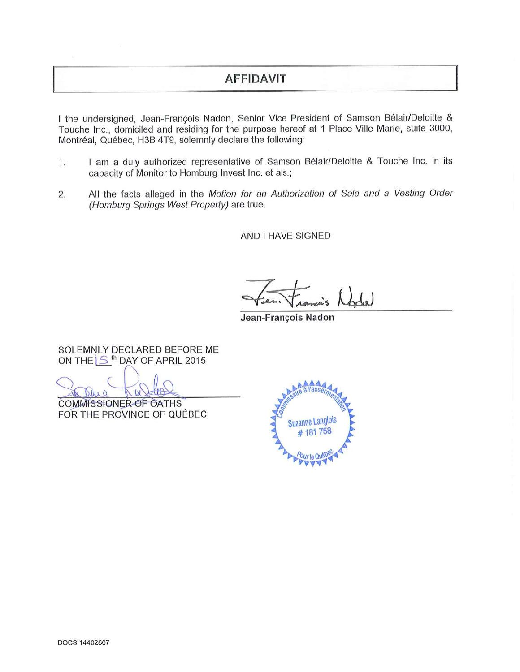# **AFFIDAVIT**

I the undersigned, Jean-François Nadon, Senior Vice President of Samson Bélair/Deloitte & Touche Inc., domiciled and residing for the purpose hereof at 1 Place Ville Marie, suite 3000, Montréal, Québec, H3B 4T9, solemnly declare the following:

- I am a duly authorized representative of Samson Bélair/Deloitte & Touche Inc. in its 1. capacity of Monitor to Homburg Invest Inc. et als.;
- All the facts alleged in the Motion for an Authorization of Sale and a Vesting Order 2. (Homburg Springs West Property) are true.

AND I HAVE SIGNED

Jean-François Nadon

SOLEMNLY DECLARED BEFORE ME ON THE S<sup>th</sup> DAY OF APRIL 2015

Olue O

COMMISSIONER OF OATHS FOR THE PROVINCE OF QUEBEC

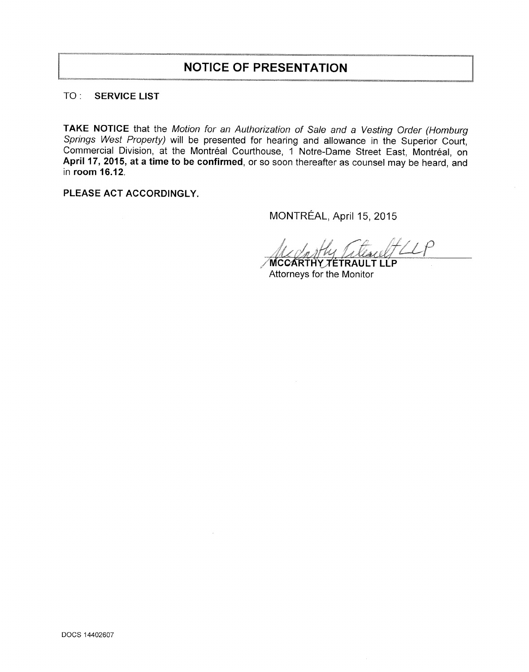# **NOTICE OF PRESENTATION**

# TO : SERVICE LIST

TAKE NOTICE that the *Motion for an Authorization of Sale and* a *Vesting Order (Homburg Springs West Property)* will be presented for hearing and allowance in the Superior Court, Commercial Division, at the Montréal Courthouse, 1 Notre-Dame Street East, Montréal, on April 17, 2015, at a time to be confirmed, or so soon thereafter as counsel may be heard, and in room 16.12.

PLEASE ACT ACCORDINGLY.

MONTREAL, April 15, 2015

MCCARTHY TÉTRAULT LLP Attorneys for the Monitor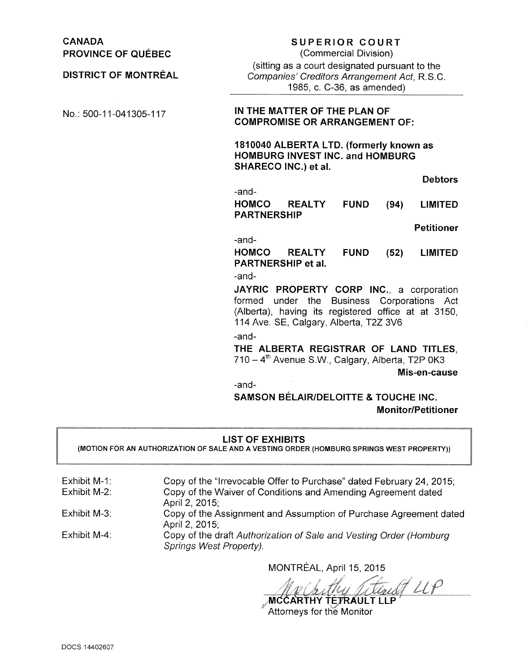CANADA PROVINCE OF QUÉBEC

DISTRICT OF MONTREAL

# SUPERIOR COURT

(Commercial Division) (sitting as a court designated pursuant to the *Companies' Creditors Arrangement Act,* R.S.C. 1985, c. C-36, as amended)

### No.: 500-11-041305-117 IN THE MATTER OF THE PLAN OF COMPROMISE OR ARRANGEMENT OF:

1810040 ALBERTA LTD. (formerly known as HOMBURG INVEST INC. and HOMBURG SHARECO INC.) et al.

Debtors

-and-HOMCO REALTY PARTNERSHIP FUND (94) LIMITED

Petitioner

-and-

HOMCO REALTY FUND PARTNERSHIP et al. (52) LIMITED

-and-

JAYRIC PROPERTY CORP INC., a corporation formed under the Business Corporations Act (Alberta), having its registered office at at 3150, 114 Ave. SE, Calgary, Alberta, T2Z 3V6

-and-

THE ALBERTA REGISTRAR OF LAND TITLES,  $710 - 4<sup>th</sup>$  Avenue S.W., Calgary, Alberta, T2P 0K3

Mis-en-cause

-and-

SAMSON BELAIRIDELOITTE & TOUCHE INC. Monitor/Petitioner

LIST OF EXHIBITS

(MOTION FOR AN AUTHORIZATION OF SALE AND A VESTING ORDER (HOMBURG SPRINGS WEST PROPERTY))

| Exhibit M-1: | Copy of the "Irrevocable Offer to Purchase" dated February 24, 2015;                          |
|--------------|-----------------------------------------------------------------------------------------------|
| Exhibit M-2: | Copy of the Waiver of Conditions and Amending Agreement dated<br>April 2, 2015;               |
| Exhibit M-3: | Copy of the Assignment and Assumption of Purchase Agreement dated<br>April 2, 2015;           |
| Exhibit M-4: | Copy of the draft Authorization of Sale and Vesting Order (Homburg<br>Springs West Property). |

MONTREAL, April 15, 2015

An Chitley Titul LLP

Attorneys for the Monitor